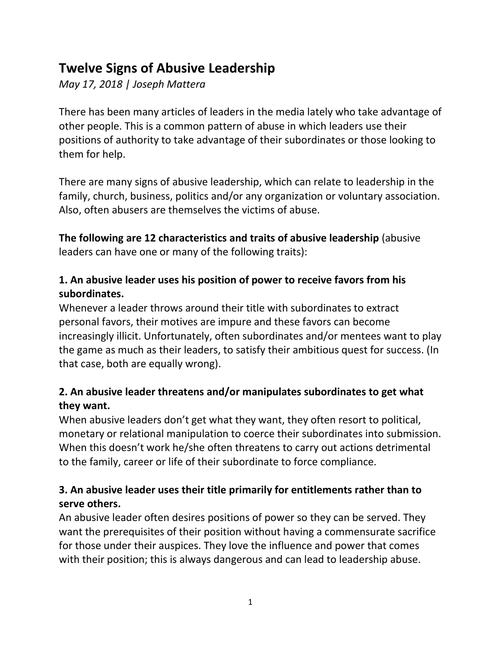# **Twelve Signs of Abusive Leadership**

*May 17, 2018 | Joseph Mattera*

There has been many articles of leaders in the media lately who take advantage of other people. This is a common pattern of abuse in which leaders use their positions of authority to take advantage of their subordinates or those looking to them for help.

There are many signs of abusive leadership, which can relate to leadership in the family, church, business, politics and/or any organization or voluntary association. Also, often abusers are themselves the victims of abuse.

**The following are 12 characteristics and traits of abusive leadership** (abusive leaders can have one or many of the following traits):

# **1. An abusive leader uses his position of power to receive favors from his subordinates.**

Whenever a leader throws around their title with subordinates to extract personal favors, their motives are impure and these favors can become increasingly illicit. Unfortunately, often subordinates and/or mentees want to play the game as much as their leaders, to satisfy their ambitious quest for success. (In that case, both are equally wrong).

# **2. An abusive leader threatens and/or manipulates subordinates to get what they want.**

When abusive leaders don't get what they want, they often resort to political, monetary or relational manipulation to coerce their subordinates into submission. When this doesn't work he/she often threatens to carry out actions detrimental to the family, career or life of their subordinate to force compliance.

# **3. An abusive leader uses their title primarily for entitlements rather than to serve others.**

An abusive leader often desires positions of power so they can be served. They want the prerequisites of their position without having a commensurate sacrifice for those under their auspices. They love the influence and power that comes with their position; this is always dangerous and can lead to leadership abuse.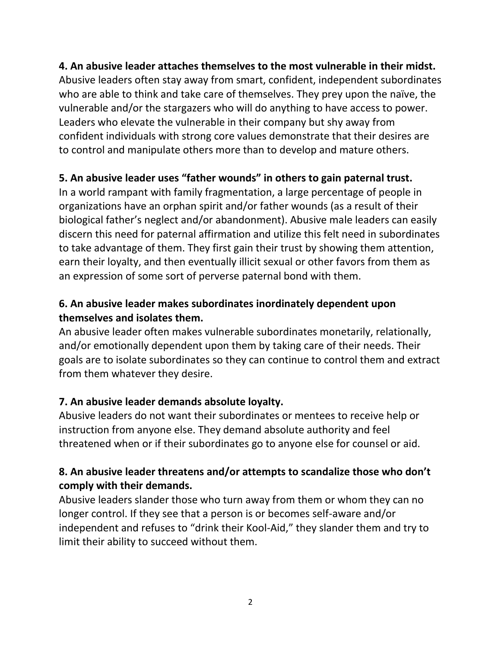#### **4. An abusive leader attaches themselves to the most vulnerable in their midst.**

Abusive leaders often stay away from smart, confident, independent subordinates who are able to think and take care of themselves. They prey upon the naïve, the vulnerable and/or the stargazers who will do anything to have access to power. Leaders who elevate the vulnerable in their company but shy away from confident individuals with strong core values demonstrate that their desires are to control and manipulate others more than to develop and mature others.

#### **5. An abusive leader uses "father wounds" in others to gain paternal trust.**

In a world rampant with family fragmentation, a large percentage of people in organizations have an orphan spirit and/or father wounds (as a result of their biological father's neglect and/or abandonment). Abusive male leaders can easily discern this need for paternal affirmation and utilize this felt need in subordinates to take advantage of them. They first gain their trust by showing them attention, earn their loyalty, and then eventually illicit sexual or other favors from them as an expression of some sort of perverse paternal bond with them.

## **6. An abusive leader makes subordinates inordinately dependent upon themselves and isolates them.**

An abusive leader often makes vulnerable subordinates monetarily, relationally, and/or emotionally dependent upon them by taking care of their needs. Their goals are to isolate subordinates so they can continue to control them and extract from them whatever they desire.

#### **7. An abusive leader demands absolute loyalty.**

Abusive leaders do not want their subordinates or mentees to receive help or instruction from anyone else. They demand absolute authority and feel threatened when or if their subordinates go to anyone else for counsel or aid.

#### **8. An abusive leader threatens and/or attempts to scandalize those who don't comply with their demands.**

Abusive leaders slander those who turn away from them or whom they can no longer control. If they see that a person is or becomes self-aware and/or independent and refuses to "drink their Kool-Aid," they slander them and try to limit their ability to succeed without them.